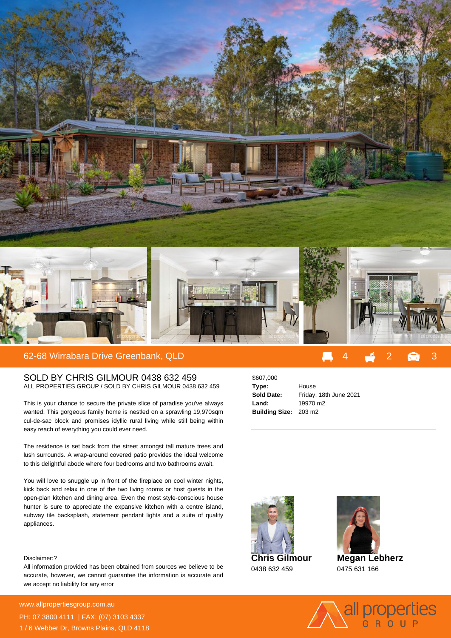

## SOLD BY CHRIS GILMOUR 0438 632 459

ALL PROPERTIES GROUP / SOLD BY CHRIS GILMOUR 0438 632 459

This is your chance to secure the private slice of paradise you've always wanted. This gorgeous family home is nestled on a sprawling 19,970sqm cul-de-sac block and promises idyllic rural living while still being within easy reach of everything you could ever need.

The residence is set back from the street amongst tall mature trees and lush surrounds. A wrap-around covered patio provides the ideal welcome to this delightful abode where four bedrooms and two bathrooms await.

You will love to snuggle up in front of the fireplace on cool winter nights, kick back and relax in one of the two living rooms or host guests in the open-plan kitchen and dining area. Even the most style-conscious house hunter is sure to appreciate the expansive kitchen with a centre island, subway tile backsplash, statement pendant lights and a suite of quality appliances.

## Disclaimer:?

All information provided has been obtained from sources we believe to be accurate, however, we cannot guarantee the information is accurate and we accept no liability for any error

**For more details please visit** www.allpropertiesgroup.com.au/**648499** PH: 07 3800 4111 | FAX: (07) 3103 4337 1 / 6 Webber Dr, Browns Plains, QLD 4118

\$607,000 **Type:** House **Sold Date:** Friday, 18th June 2021 **Land:** 19970 m2 **Building Size:** 203 m2



**Megan Lebherz**

0475 631 166